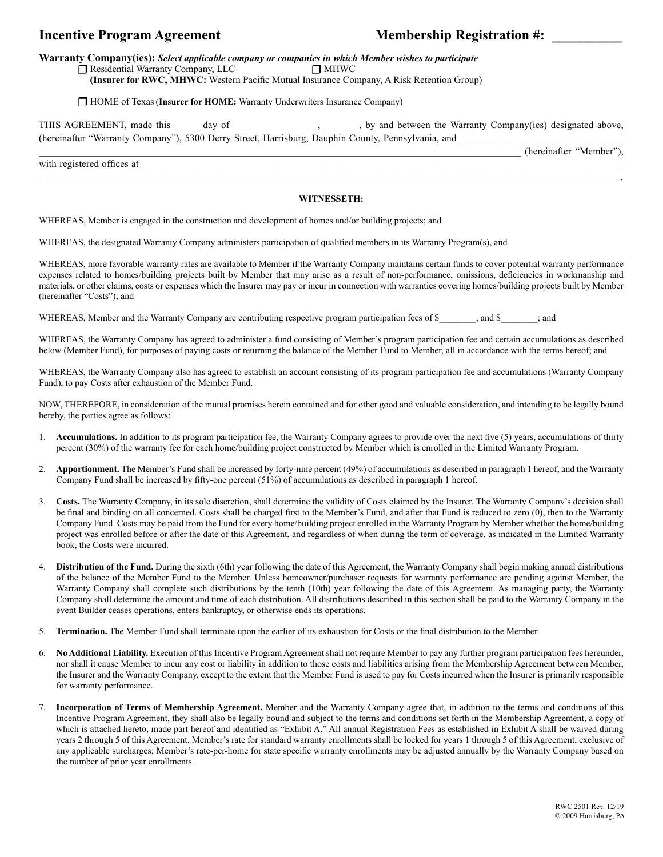## **Incentive Program Agreement Membership Registration #:**

**Warranty Company(ies):** *Select applicable company or companies in which Member wishes to participate*

 $\Box$  Residential Warranty Company, LLC  $\Box$  MHWC

 **(Insurer for RWC, MHWC:** Western Pacific Mutual Insurance Company, A Risk Retention Group)

 HOME of Texas(**Insurer for HOME:** Warranty Underwriters Insurance Company)

THIS AGREEMENT, made this \_\_\_\_\_ day of \_\_\_\_\_\_\_\_\_\_\_\_\_\_, \_\_\_\_\_, by and between the Warranty Company(ies) designated above, (hereinafter "Warranty Company"), 5300 Derry Street, Harrisburg, Dauphin County, Pennsylvania, and

\_\_\_\_\_\_\_\_\_\_\_\_\_\_\_\_\_\_\_\_\_\_\_\_\_\_\_\_\_\_\_\_\_\_\_\_\_\_\_\_\_\_\_\_\_\_\_\_\_\_\_\_\_\_\_\_\_\_\_\_\_\_\_\_\_\_\_\_\_\_\_\_\_\_\_\_\_\_\_\_\_\_\_\_\_\_\_\_\_\_\_\_\_\_\_\_\_ (hereinafter "Member"),

with registered offices at

## $\mathcal{L}_\text{max} = \frac{1}{2} \sum_{i=1}^{n} \frac{1}{2} \sum_{i=1}^{n} \frac{1}{2} \sum_{i=1}^{n} \frac{1}{2} \sum_{i=1}^{n} \frac{1}{2} \sum_{i=1}^{n} \frac{1}{2} \sum_{i=1}^{n} \frac{1}{2} \sum_{i=1}^{n} \frac{1}{2} \sum_{i=1}^{n} \frac{1}{2} \sum_{i=1}^{n} \frac{1}{2} \sum_{i=1}^{n} \frac{1}{2} \sum_{i=1}^{n} \frac{1}{2} \sum_{i=1}^{n} \frac{1$ **WITNESSETH:**

WHEREAS, Member is engaged in the construction and development of homes and/or building projects; and

WHEREAS, the designated Warranty Company administers participation of qualified members in its Warranty Program(s), and

WHEREAS, more favorable warranty rates are available to Member if the Warranty Company maintains certain funds to cover potential warranty performance expenses related to homes/building projects built by Member that may arise as a result of non-performance, omissions, deficiencies in workmanship and materials, or other claims, costs or expenses which the Insurer may pay or incur in connection with warranties covering homes/building projects built by Member (hereinafter "Costs"); and

WHEREAS, Member and the Warranty Company are contributing respective program participation fees of \$  $\ldots$ , and \$ ; and

WHEREAS, the Warranty Company has agreed to administer a fund consisting of Member's program participation fee and certain accumulations as described below (Member Fund), for purposes of paying costs or returning the balance of the Member Fund to Member, all in accordance with the terms hereof; and

WHEREAS, the Warranty Company also has agreed to establish an account consisting of its program participation fee and accumulations (Warranty Company Fund), to pay Costs after exhaustion of the Member Fund.

NOW, THEREFORE, in consideration of the mutual promises herein contained and for other good and valuable consideration, and intending to be legally bound hereby, the parties agree as follows:

- 1. **Accumulations.** In addition to its program participation fee, the Warranty Company agrees to provide over the next five (5) years, accumulations of thirty percent (30%) of the warranty fee for each home/building project constructed by Member which is enrolled in the Limited Warranty Program.
- 2. **Apportionment.** The Member's Fund shall be increased by forty-nine percent (49%) of accumulations as described in paragraph 1 hereof, and the Warranty Company Fund shall be increased by fifty-one percent (51%) of accumulations as described in paragraph 1 hereof.
- 3. **Costs.** The Warranty Company, in its sole discretion, shall determine the validity of Costs claimed by the Insurer. The Warranty Company's decision shall be final and binding on all concerned. Costs shall be charged first to the Member's Fund, and after that Fund is reduced to zero (0), then to the Warranty Company Fund. Costs may be paid from the Fund for every home/building project enrolled in the Warranty Program by Member whether the home/building project was enrolled before or after the date of this Agreement, and regardless of when during the term of coverage, as indicated in the Limited Warranty book, the Costs were incurred.
- 4. **Distribution of the Fund.** During the sixth (6th) year following the date of this Agreement, the Warranty Company shall begin making annual distributions of the balance of the Member Fund to the Member. Unless homeowner/purchaser requests for warranty performance are pending against Member, the Warranty Company shall complete such distributions by the tenth (10th) year following the date of this Agreement. As managing party, the Warranty Company shall determine the amount and time of each distribution. All distributions described in this section shall be paid to the Warranty Company in the event Builder ceases operations, enters bankruptcy, or otherwise ends its operations.
- 5. **Termination.** The Member Fund shall terminate upon the earlier of its exhaustion for Costs or the final distribution to the Member.
- 6. **No Additional Liability.** Execution of this Incentive Program Agreement shall not require Member to pay any further program participation fees hereunder, nor shall it cause Member to incur any cost or liability in addition to those costs and liabilities arising from the Membership Agreement between Member, the Insurer and the Warranty Company, except to the extent that the Member Fund is used to pay for Costs incurred when the Insurer is primarily responsible for warranty performance.
- 7. **Incorporation of Terms of Membership Agreement.** Member and the Warranty Company agree that, in addition to the terms and conditions of this Incentive Program Agreement, they shall also be legally bound and subject to the terms and conditions set forth in the Membership Agreement, a copy of which is attached hereto, made part hereof and identified as "Exhibit A." All annual Registration Fees as established in Exhibit A shall be waived during years 2 through 5 of this Agreement. Member's rate for standard warranty enrollments shall be locked for years 1 through 5 of this Agreement, exclusive of any applicable surcharges; Member's rate-per-home for state specific warranty enrollments may be adjusted annually by the Warranty Company based on the number of prior year enrollments.